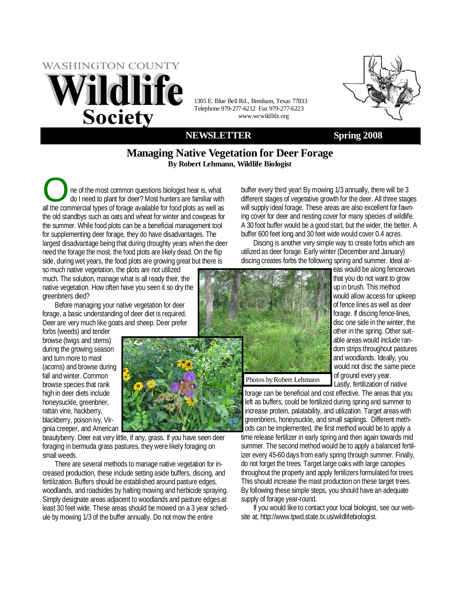# **WASHINGTON COUNTY ildlife Society**

1305 E. Blue Bell Rd., Brenham, Texas 77833 Telephone 979-277-6212 Fax 979-277-6223 www.wcwildlife.org

### **NEWSLETTER Spring 2008**

### **Managing Native Vegetation for Deer Forage By Robert Lehmann, Wildlife Biologist**

The of the most common questions biologist hear is, what do I need to plant for deer? Most hunters are familiar with all the commercial types of forgoe available for food plats as well as all the commercial types of forage available for food plots as well as the old standbys such as oats and wheat for winter and cowpeas for the summer. While food plots can be a beneficial management tool for supplementing deer forage, they do have disadvantages. The largest disadvantage being that during droughty years when the deer need the forage the most, the food plots are likely dead. On the flip side, during wet years, the food plots are growing great but there is

so much native vegetation, the plots are not utilized much. The solution, manage what is all ready their, the native vegetation. How often have you seen it so dry the greenbriers died?

Before managing your native vegetation for deer forage, a basic understanding of deer diet is required. Deer are very much like goats and sheep. Deer prefer

forbs (weeds) and tender browse (twigs and stems) during the growing season and turn more to mast (acorns) and browse during fall and winter. Common browse species that rank high in deer diets include honeysuckle, greenbrier, rattan vine, hackberry, blackberry, poison ivy, Virginia creeper, and American



beautyberry. Deer eat very little, if any, grass. If you have seen deer foraging in bermuda grass pastures, they were likely foraging on small weeds.

There are several methods to manage native vegetation for increased production, these include setting aside buffers, discing, and fertilization. Buffers should be established around pasture edges, woodlands, and roadsides by halting mowing and herbicide spraying. Simply designate areas adjacent to woodlands and pasture edges at least 30 feet wide. These areas should be mowed on a 3 year schedule by mowing 1/3 of the buffer annually. Do not mow the entire

buffer every third year! By mowing 1/3 annually, there will be 3 different stages of vegetative growth for the deer. All three stages will supply ideal forage. These areas are also excellent for fawning cover for deer and nesting cover for many species of wildlife. A 30 foot buffer would be a good start, but the wider, the better. A buffer 600 feet long and 30 feet wide would cover 0.4 acres.

Discing is another very simple way to create forbs which are utilized as deer forage. Early winter (December and January) discing creates forbs the following spring and summer. Ideal ar-



eas would be along fencerows that you do not want to grow up in brush. This method would allow access for upkeep of fence lines as well as deer forage. If discing fence-lines, disc one side in the winter, the other in the spring. Other suitable areas would include random strips throughout pastures and woodlands. Ideally, you would not disc the same piece of ground every year. Lastly, fertilization of native

Photos by Robert Lehmann

forage can be beneficial and cost effective. The areas that you left as buffers, could be fertilized during spring and summer to increase protein, palatability, and utilization. Target areas with greenbriers, honeysuckle, and small saplings. Different methods can be implemented, the first method would be to apply a time release fertilizer in early spring and then again towards mid summer. The second method would be to apply a balanced fertilizer every 45-60 days from early spring through summer. Finally, do not forget the trees. Target large oaks with large canopies throughout the property and apply fertilizers formulated for trees. This should increase the mast production on these target trees. By following these simple steps, you should have an adequate supply of forage year-round.

If you would like to contact your local biologist, see our website at; http://www.tpwd.state.tx.us/wildlifebiologist.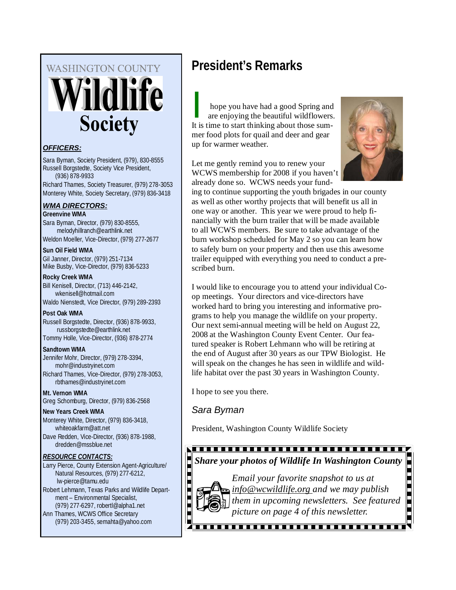# **WASHINGTON COUNTY** Î dlife **Society**

### *OFFICERS:*

Sara Byman, Society President, (979), 830-8555 Russell Borgstedte, Society Vice President, (936) 878-9933 Richard Thames, Society Treasurer, (979) 278-3053 Monterey White, Society Secretary, (979) 836-3418

### *WMA DIRECTORS:*

**Greenvine WMA**  Sara Byman, Director, (979) 830-8555, melodyhillranch@earthlink.net Weldon Moeller, Vice-Director, (979) 277-2677

**Sun Oil Field WMA**  Gil Janner, Director, (979) 251-7134 Mike Busby, Vice-Director, (979) 836-5233

**Rocky Creek WMA**  Bill Kenisell, Director, (713) 446-2142, wkenisell@hotmail.com Waldo Nienstedt, Vice Director, (979) 289-2393

**Post Oak WMA**  Russell Borgstedte, Director, (936) 878-9933, russborgstedte@earthlink.net Tommy Holle, Vice-Director, (936) 878-2774

**Sandtown WMA** 

Jennifer Mohr, Director, (979) 278-3394, mohr@industryinet.com Richard Thames, Vice-Director, (979) 278-3053, rbthames@industryinet.com

**Mt. Vernon WMA**  Greg Schomburg, Director, (979) 836-2568

**New Years Creek WMA**  Monterey White, Director, (979) 836-3418, whiteoakfarm@att.net Dave Redden, Vice-Director, (936) 878-1988,

dredden@mssblue.net

### *RESOURCE CONTACTS:*

Larry Pierce, County Extension Agent-Agriculture/ Natural Resources, (979) 277-6212, lw-pierce@tamu.edu Robert Lehmann, Texas Parks and Wildlife Department – Environmental Specialist, (979) 277-6297, robertl@alpha1.net

Ann Thames, WCWS Office Secretary (979) 203-3455, semahta@yahoo.com

## **President's Remarks**

hope you have had a good Spring and are enjoying the beautiful wildflowers. It is time to start thinking about those summer food plots for quail and deer and gear up for warmer weather.

Let me gently remind you to renew your WCWS membership for 2008 if you haven't already done so. WCWS needs your fund-



ing to continue supporting the youth brigades in our county as well as other worthy projects that will benefit us all in one way or another. This year we were proud to help financially with the burn trailer that will be made available to all WCWS members. Be sure to take advantage of the burn workshop scheduled for May 2 so you can learn how to safely burn on your property and then use this awesome trailer equipped with everything you need to conduct a prescribed burn.

I would like to encourage you to attend your individual Coop meetings. Your directors and vice-directors have worked hard to bring you interesting and informative programs to help you manage the wildlife on your property. Our next semi-annual meeting will be held on August 22, 2008 at the Washington County Event Center. Our featured speaker is Robert Lehmann who will be retiring at the end of August after 30 years as our TPW Biologist. He will speak on the changes he has seen in wildlife and wildlife habitat over the past 30 years in Washington County.

I hope to see you there.

*Sara Byman* 

President, Washington County Wildlife Society

<u>sii iliitti maani maani maani maani maani s</u>

**Share your photos of Wildlife In Washington County**<br> *Email your favorite snapshot to us at*<br> *info@wcwildlife.org and we may publish*<br>
them in upcoming newsletters. See featured<br>
picture on page 4 of this newsletter. *Email your favorite snapshot to us at info@wcwildlife.org and we may publish them in upcoming newsletters. See featured picture on page 4 of this newsletter.*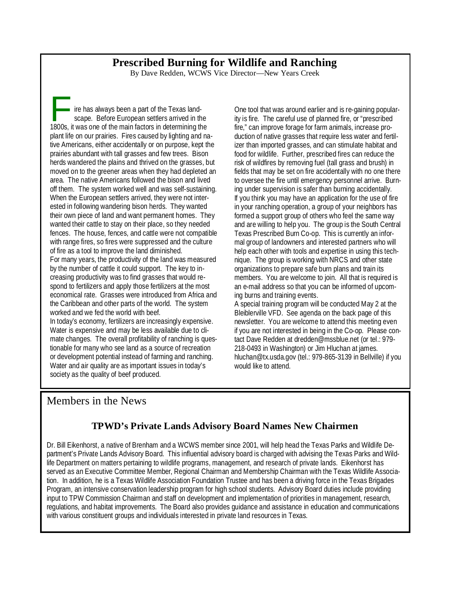### **Prescribed Burning for Wildlife and Ranching**

By Dave Redden, WCWS Vice Director—New Years Creek

ire has always been a part of the Texas landscape. Before European settlers arrived in the 1800s, it was one of the main factors in determining the plant life on our prairies. Fires caused by lighting and native Americans, either accidentally or on purpose, kept the prairies abundant with tall grasses and few trees. Bison herds wandered the plains and thrived on the grasses, but moved on to the greener areas when they had depleted an area. The native Americans followed the bison and lived off them. The system worked well and was self-sustaining. When the European settlers arrived, they were not interested in following wandering bison herds. They wanted their own piece of land and want permanent homes. They wanted their cattle to stay on their place, so they needed fences. The house, fences, and cattle were not compatible with range fires, so fires were suppressed and the culture of fire as a tool to improve the land diminished. For many years, the productivity of the land was measured by the number of cattle it could support. The key to increasing productivity was to find grasses that would respond to fertilizers and apply those fertilizers at the most economical rate. Grasses were introduced from Africa and the Caribbean and other parts of the world. The system worked and we fed the world with beef. In today's economy, fertilizers are increasingly expensive. Water is expensive and may be less available due to climate changes. The overall profitability of ranching is questionable for many who see land as a source of recreation or development potential instead of farming and ranching. Water and air quality are as important issues in today's society as the quality of beef produced.

One tool that was around earlier and is re-gaining popularity is fire. The careful use of planned fire, or "prescribed fire," can improve forage for farm animals, increase production of native grasses that require less water and fertilizer than imported grasses, and can stimulate habitat and food for wildlife. Further, prescribed fires can reduce the risk of wildfires by removing fuel (tall grass and brush) in fields that may be set on fire accidentally with no one there to oversee the fire until emergency personnel arrive. Burning under supervision is safer than burning accidentally. If you think you may have an application for the use of fire in your ranching operation, a group of your neighbors has formed a support group of others who feel the same way and are willing to help you. The group is the South Central Texas Prescribed Burn Co-op. This is currently an informal group of landowners and interested partners who will help each other with tools and expertise in using this technique. The group is working with NRCS and other state organizations to prepare safe burn plans and train its members. You are welcome to join. All that is required is an e-mail address so that you can be informed of upcoming burns and training events.

A special training program will be conducted May 2 at the Bleiblerville VFD. See agenda on the back page of this newsletter. You are welcome to attend this meeting even if you are not interested in being in the Co-op. Please contact Dave Redden at dredden@mssblue.net (or tel.: 979- 218-0493 in Washington) or Jim Hluchan at james. hluchan@tx.usda.gov (tel.: 979-865-3139 in Bellville) if you would like to attend.

### Members in the News

### **TPWD's Private Lands Advisory Board Names New Chairmen**

Dr. Bill Eikenhorst, a native of Brenham and a WCWS member since 2001, will help head the Texas Parks and Wildlife Department's Private Lands Advisory Board. This influential advisory board is charged with advising the Texas Parks and Wildlife Department on matters pertaining to wildlife programs, management, and research of private lands. Eikenhorst has served as an Executive Committee Member, Regional Chairman and Membership Chairman with the Texas Wildlife Association. In addition, he is a Texas Wildlife Association Foundation Trustee and has been a driving force in the Texas Brigades Program, an intensive conservation leadership program for high school students. Advisory Board duties include providing input to TPW Commission Chairman and staff on development and implementation of priorities in management, research, regulations, and habitat improvements. The Board also provides guidance and assistance in education and communications with various constituent groups and individuals interested in private land resources in Texas.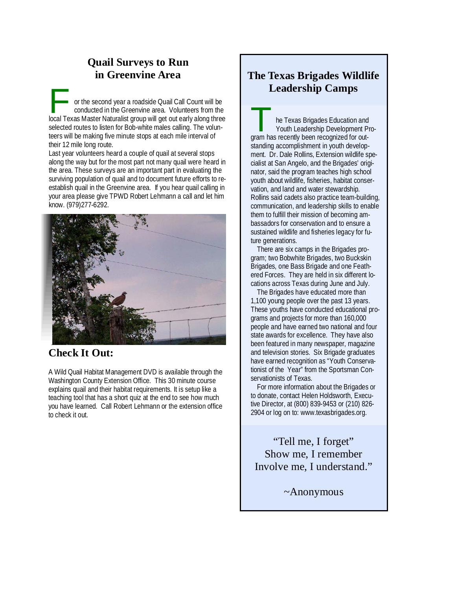### **Quail Surveys to Run in Greenvine Area**

or the second year a roadside Quail Call Count will be conducted in the Greenvine area. Volunteers from the local Texas Master Naturalist group will get out early along three selected routes to listen for Bob-white males calling. The volunteers will be making five minute stops at each mile interval of their 12 mile long route.

Last year volunteers heard a couple of quail at several stops along the way but for the most part not many quail were heard in the area. These surveys are an important part in evaluating the surviving population of quail and to document future efforts to reestablish quail in the Greenvine area. If you hear quail calling in your area please give TPWD Robert Lehmann a call and let him know. (979)277-6292.



### **Check It Out:**

A Wild Quail Habitat Management DVD is available through the Washington County Extension Office. This 30 minute course explains quail and their habitat requirements. It is setup like a teaching tool that has a short quiz at the end to see how much you have learned. Call Robert Lehmann or the extension office to check it out.

### **The Texas Brigades Wildlife Leadership Camps**

The Texas Brigades Education and<br>
Youth Leadership Development Pro-<br>
The Texas Brigades Education and<br>
Youth Leadership Development Program has recently been recognized for outstanding accomplishment in youth development. Dr. Dale Rollins, Extension wildlife specialist at San Angelo, and the Brigades' originator, said the program teaches high school youth about wildlife, fisheries, habitat conservation, and land and water stewardship. Rollins said cadets also practice team-building, communication, and leadership skills to enable them to fulfill their mission of becoming ambassadors for conservation and to ensure a sustained wildlife and fisheries legacy for future generations.

There are six camps in the Brigades program; two Bobwhite Brigades, two Buckskin Brigades, one Bass Brigade and one Feathered Forces. They are held in six different locations across Texas during June and July.

The Brigades have educated more than 1,100 young people over the past 13 years. These youths have conducted educational programs and projects for more than 160,000 people and have earned two national and four state awards for excellence. They have also been featured in many newspaper, magazine and television stories. Six Brigade graduates have earned recognition as "Youth Conservationist of the Year" from the Sportsman Conservationists of Texas.

For more information about the Brigades or to donate, contact Helen Holdsworth, Executive Director, at (800) 839-9453 or (210) 826- 2904 or log on to: www.texasbrigades.org.

"Tell me, I forget" Show me, I remember Involve me, I understand."

~Anonymous